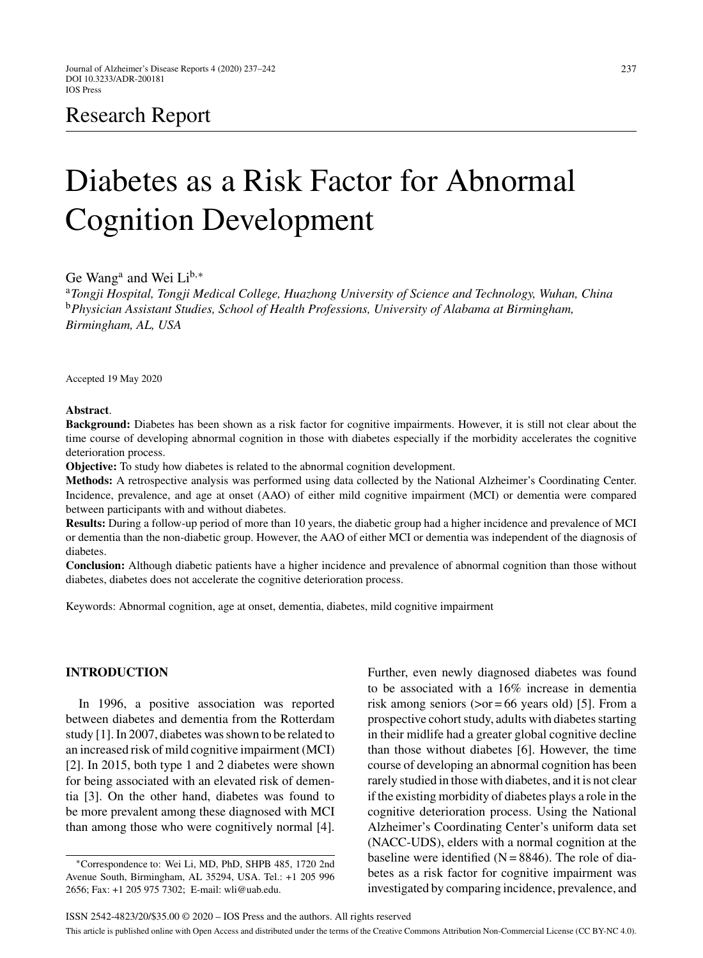# Research Report

# Diabetes as a Risk Factor for Abnormal Cognition Development

Ge Wang<sup>a</sup> and Wei Li<sup>b,∗</sup>

<sup>a</sup>*Tongji Hospital, Tongji Medical College, Huazhong University of Science and Technology, Wuhan, China* <sup>b</sup>*Physician Assistant Studies, School of Health Professions, University of Alabama at Birmingham, Birmingham, AL, USA*

Accepted 19 May 2020

# **Abstract**.

**Background:** Diabetes has been shown as a risk factor for cognitive impairments. However, it is still not clear about the time course of developing abnormal cognition in those with diabetes especially if the morbidity accelerates the cognitive deterioration process.

**Objective:** To study how diabetes is related to the abnormal cognition development.

**Methods:** A retrospective analysis was performed using data collected by the National Alzheimer's Coordinating Center. Incidence, prevalence, and age at onset (AAO) of either mild cognitive impairment (MCI) or dementia were compared between participants with and without diabetes.

**Results:** During a follow-up period of more than 10 years, the diabetic group had a higher incidence and prevalence of MCI or dementia than the non-diabetic group. However, the AAO of either MCI or dementia was independent of the diagnosis of diabetes.

**Conclusion:** Although diabetic patients have a higher incidence and prevalence of abnormal cognition than those without diabetes, diabetes does not accelerate the cognitive deterioration process.

Keywords: Abnormal cognition, age at onset, dementia, diabetes, mild cognitive impairment

# **INTRODUCTION**

In 1996, a positive association was reported between diabetes and dementia from the Rotterdam study [1]. In 2007, diabetes was shown to be related to an increased risk of mild cognitive impairment (MCI) [2]. In 2015, both type 1 and 2 diabetes were shown for being associated with an elevated risk of dementia [3]. On the other hand, diabetes was found to be more prevalent among these diagnosed with MCI than among those who were cognitively normal [4].

Further, even newly diagnosed diabetes was found to be associated with a 16% increase in dementia risk among seniors ( $>or = 66$  years old) [5]. From a prospective cohort study, adults with diabetes starting in their midlife had a greater global cognitive decline than those without diabetes [6]. However, the time course of developing an abnormal cognition has been rarely studied in those with diabetes, and it is not clear if the existing morbidity of diabetes plays a role in the cognitive deterioration process. Using the National Alzheimer's Coordinating Center's uniform data set (NACC-UDS), elders with a normal cognition at the baseline were identified  $(N = 8846)$ . The role of diabetes as a risk factor for cognitive impairment was investigated by comparing incidence, prevalence, and

<sup>∗</sup>Correspondence to: Wei Li, MD, PhD, SHPB 485, 1720 2nd Avenue South, Birmingham, AL 35294, USA. Tel.: +1 205 996 2656; Fax: +1 205 975 7302; E-mail: [wli@uab.edu.](mailto:wli@uab.edu)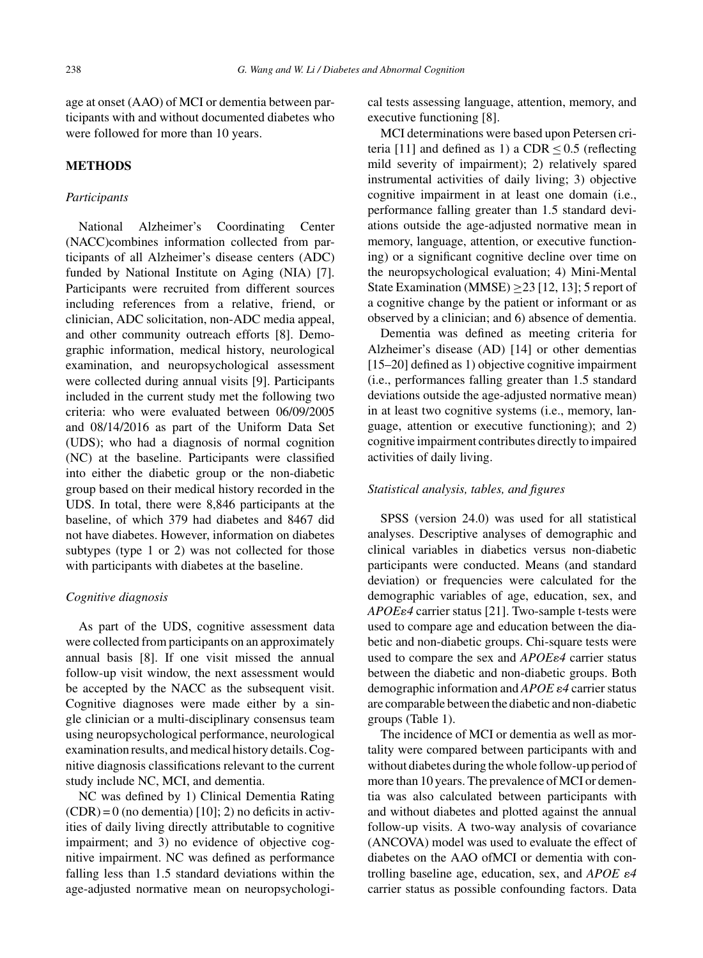age at onset (AAO) of MCI or dementia between participants with and without documented diabetes who were followed for more than 10 years.

# **METHODS**

#### *Participants*

National Alzheimer's Coordinating Center (NACC)combines information collected from participants of all Alzheimer's disease centers (ADC) funded by National Institute on Aging (NIA) [7]. Participants were recruited from different sources including references from a relative, friend, or clinician, ADC solicitation, non-ADC media appeal, and other community outreach efforts [8]. Demographic information, medical history, neurological examination, and neuropsychological assessment were collected during annual visits [9]. Participants included in the current study met the following two criteria: who were evaluated between 06/09/2005 and 08/14/2016 as part of the Uniform Data Set (UDS); who had a diagnosis of normal cognition (NC) at the baseline. Participants were classified into either the diabetic group or the non-diabetic group based on their medical history recorded in the UDS. In total, there were 8,846 participants at the baseline, of which 379 had diabetes and 8467 did not have diabetes. However, information on diabetes subtypes (type 1 or 2) was not collected for those with participants with diabetes at the baseline.

#### *Cognitive diagnosis*

As part of the UDS, cognitive assessment data were collected from participants on an approximately annual basis [8]. If one visit missed the annual follow-up visit window, the next assessment would be accepted by the NACC as the subsequent visit. Cognitive diagnoses were made either by a single clinician or a multi-disciplinary consensus team using neuropsychological performance, neurological examination results, and medical history details. Cognitive diagnosis classifications relevant to the current study include NC, MCI, and dementia.

NC was defined by 1) Clinical Dementia Rating  $(CDR) = 0$  (no dementia) [10]; 2) no deficits in activities of daily living directly attributable to cognitive impairment; and 3) no evidence of objective cognitive impairment. NC was defined as performance falling less than 1.5 standard deviations within the age-adjusted normative mean on neuropsychological tests assessing language, attention, memory, and executive functioning [8].

MCI determinations were based upon Petersen criteria [11] and defined as 1) a CDR  $\leq$  0.5 (reflecting mild severity of impairment); 2) relatively spared instrumental activities of daily living; 3) objective cognitive impairment in at least one domain (i.e., performance falling greater than 1.5 standard deviations outside the age-adjusted normative mean in memory, language, attention, or executive functioning) or a significant cognitive decline over time on the neuropsychological evaluation; 4) Mini-Mental State Examination (MMSE) ≥23 [12, 13]; 5 report of a cognitive change by the patient or informant or as observed by a clinician; and 6) absence of dementia.

Dementia was defined as meeting criteria for Alzheimer's disease (AD) [14] or other dementias [15–20] defined as 1) objective cognitive impairment (i.e., performances falling greater than 1.5 standard deviations outside the age-adjusted normative mean) in at least two cognitive systems (i.e., memory, language, attention or executive functioning); and 2) cognitive impairment contributes directly to impaired activities of daily living.

## *Statistical analysis, tables, and figures*

SPSS (version 24.0) was used for all statistical analyses. Descriptive analyses of demographic and clinical variables in diabetics versus non-diabetic participants were conducted. Means (and standard deviation) or frequencies were calculated for the demographic variables of age, education, sex, and *APOE*-*4* carrier status [21]. Two-sample t-tests were used to compare age and education between the diabetic and non-diabetic groups. Chi-square tests were used to compare the sex and *APOE* $\varepsilon$ 4 carrier status between the diabetic and non-diabetic groups. Both demographic information and *APOE*  $\varepsilon$ 4 carrier status are comparable between the diabetic and non-diabetic groups (Table 1).

The incidence of MCI or dementia as well as mortality were compared between participants with and without diabetes during the whole follow-up period of more than 10 years. The prevalence of MCI or dementia was also calculated between participants with and without diabetes and plotted against the annual follow-up visits. A two-way analysis of covariance (ANCOVA) model was used to evaluate the effect of diabetes on the AAO ofMCI or dementia with controlling baseline age, education, sex, and *APOE*  $\varepsilon$ 4 carrier status as possible confounding factors. Data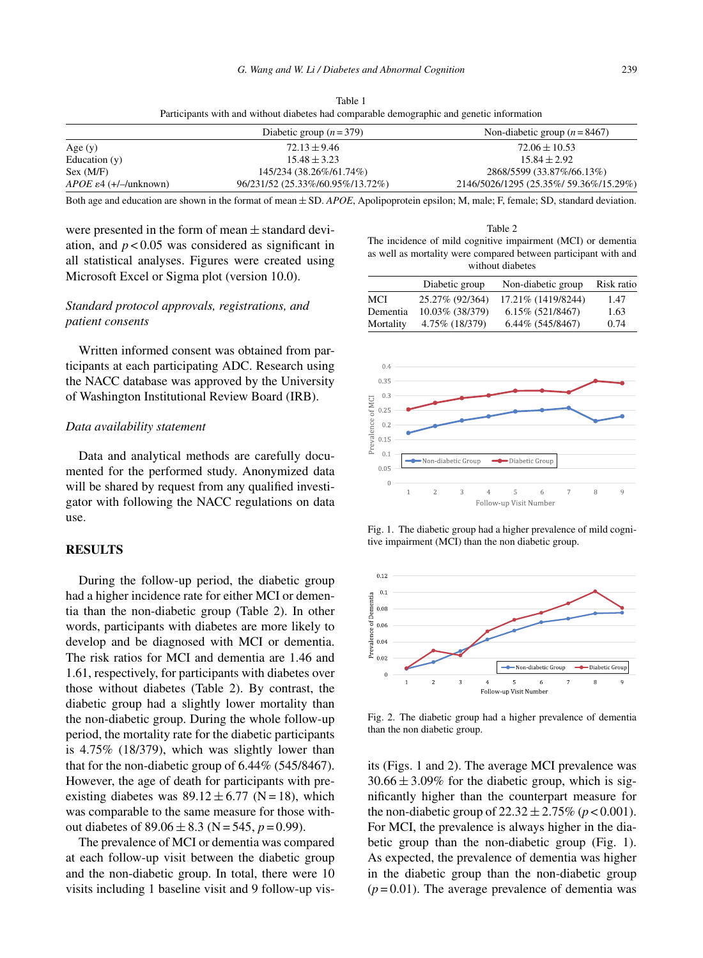|                                   | Diabetic group $(n=379)$         | Non-diabetic group $(n = 8467)$        |
|-----------------------------------|----------------------------------|----------------------------------------|
| Age $(y)$                         | $72.13 \pm 9.46$                 | $72.06 \pm 10.53$                      |
| Education $(v)$                   | $15.48 \pm 3.23$                 | $15.84 \pm 2.92$                       |
| Sex (M/F)                         | 145/234 (38.26%/61.74%)          | 2868/5599 (33.87%/66.13%)              |
| $APOE \varepsilon4 (+/-/unknown)$ | 96/231/52 (25.33%/60.95%/13.72%) | 2146/5026/1295 (25.35%/ 59.36%/15.29%) |

Table 1 Participants with and without diabetes had comparable demographic and genetic information

Both age and education are shown in the format of mean ± SD. *APOE*, Apolipoprotein epsilon; M, male; F, female; SD, standard deviation.

were presented in the form of mean  $\pm$  standard deviation, and  $p < 0.05$  was considered as significant in all statistical analyses. Figures were created using Microsoft Excel or Sigma plot (version 10.0).

# *Standard protocol approvals, registrations, and patient consents*

Written informed consent was obtained from participants at each participating ADC. Research using the NACC database was approved by the University of Washington Institutional Review Board (IRB).

#### *Data availability statement*

Data and analytical methods are carefully documented for the performed study. Anonymized data will be shared by request from any qualified investigator with following the NACC regulations on data use.

## **RESULTS**

During the follow-up period, the diabetic group had a higher incidence rate for either MCI or dementia than the non-diabetic group (Table 2). In other words, participants with diabetes are more likely to develop and be diagnosed with MCI or dementia. The risk ratios for MCI and dementia are 1.46 and 1.61, respectively, for participants with diabetes over those without diabetes (Table 2). By contrast, the diabetic group had a slightly lower mortality than the non-diabetic group. During the whole follow-up period, the mortality rate for the diabetic participants is 4.75% (18/379), which was slightly lower than that for the non-diabetic group of 6.44% (545/8467). However, the age of death for participants with preexisting diabetes was  $89.12 \pm 6.77$  (N = 18), which was comparable to the same measure for those without diabetes of  $89.06 \pm 8.3$  (N = 545, *p* = 0.99).

The prevalence of MCI or dementia was compared at each follow-up visit between the diabetic group and the non-diabetic group. In total, there were 10 visits including 1 baseline visit and 9 follow-up vis-

Table 2 The incidence of mild cognitive impairment (MCI) or dementia as well as mortality were compared between participant with and without diabetes

|           | Diabetic group  | Non-diabetic group | Risk ratio |
|-----------|-----------------|--------------------|------------|
| MCI       | 25.27% (92/364) | 17.21% (1419/8244) | 1.47       |
| Dementia  | 10.03% (38/379) | 6.15% (521/8467)   | 1.63       |
| Mortality | 4.75% (18/379)  | 6.44% (545/8467)   | 0.74       |



Fig. 1. The diabetic group had a higher prevalence of mild cognitive impairment (MCI) than the non diabetic group.



Fig. 2. The diabetic group had a higher prevalence of dementia than the non diabetic group.

its (Figs. 1 and 2). The average MCI prevalence was  $30.66 \pm 3.09\%$  for the diabetic group, which is significantly higher than the counterpart measure for the non-diabetic group of  $22.32 \pm 2.75\%$  ( $p < 0.001$ ). For MCI, the prevalence is always higher in the diabetic group than the non-diabetic group (Fig. 1). As expected, the prevalence of dementia was higher in the diabetic group than the non-diabetic group  $(p=0.01)$ . The average prevalence of dementia was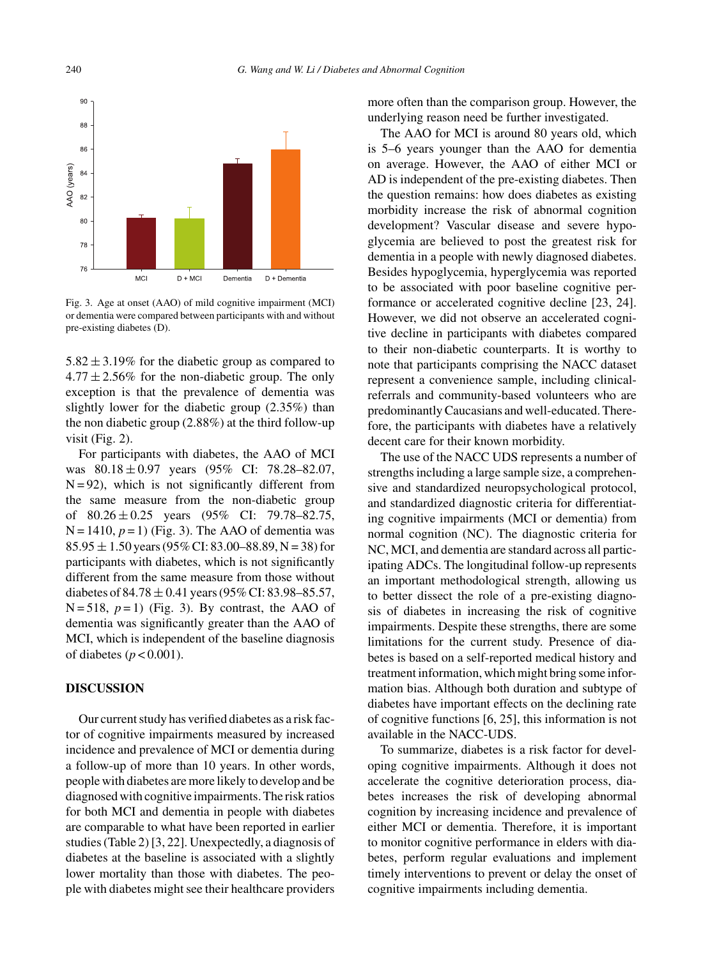

Fig. 3. Age at onset (AAO) of mild cognitive impairment (MCI) or dementia were compared between participants with and without pre-existing diabetes (D).

 $5.82 \pm 3.19\%$  for the diabetic group as compared to  $4.77 \pm 2.56\%$  for the non-diabetic group. The only exception is that the prevalence of dementia was slightly lower for the diabetic group (2.35%) than the non diabetic group (2.88%) at the third follow-up visit (Fig. 2).

For participants with diabetes, the AAO of MCI was  $80.18 \pm 0.97$  years (95% CI: 78.28-82.07,  $N = 92$ ), which is not significantly different from the same measure from the non-diabetic group of  $80.26 \pm 0.25$  years  $(95\% \text{ CI: } 79.78 - 82.75,$  $N = 1410$ ,  $p = 1$ ) (Fig. 3). The AAO of dementia was  $85.95 \pm 1.50$  years (95% CI: 83.00–88.89, N = 38) for participants with diabetes, which is not significantly different from the same measure from those without diabetes of  $84.78 \pm 0.41$  years (95% CI: 83.98–85.57,  $N = 518$ ,  $p = 1$ ) (Fig. 3). By contrast, the AAO of dementia was significantly greater than the AAO of MCI, which is independent of the baseline diagnosis of diabetes (*p* < 0.001).

# **DISCUSSION**

Our current study has verified diabetes as a risk factor of cognitive impairments measured by increased incidence and prevalence of MCI or dementia during a follow-up of more than 10 years. In other words, people with diabetes are more likely to develop and be diagnosed with cognitive impairments. The risk ratios for both MCI and dementia in people with diabetes are comparable to what have been reported in earlier studies (Table 2) [3, 22]. Unexpectedly, a diagnosis of diabetes at the baseline is associated with a slightly lower mortality than those with diabetes. The people with diabetes might see their healthcare providers

more often than the comparison group. However, the underlying reason need be further investigated.

The AAO for MCI is around 80 years old, which is 5–6 years younger than the AAO for dementia on average. However, the AAO of either MCI or AD is independent of the pre-existing diabetes. Then the question remains: how does diabetes as existing morbidity increase the risk of abnormal cognition development? Vascular disease and severe hypoglycemia are believed to post the greatest risk for dementia in a people with newly diagnosed diabetes. Besides hypoglycemia, hyperglycemia was reported to be associated with poor baseline cognitive performance or accelerated cognitive decline [23, 24]. However, we did not observe an accelerated cognitive decline in participants with diabetes compared to their non-diabetic counterparts. It is worthy to note that participants comprising the NACC dataset represent a convenience sample, including clinicalreferrals and community-based volunteers who are predominantly Caucasians and well-educated. Therefore, the participants with diabetes have a relatively decent care for their known morbidity.

The use of the NACC UDS represents a number of strengths including a large sample size, a comprehensive and standardized neuropsychological protocol, and standardized diagnostic criteria for differentiating cognitive impairments (MCI or dementia) from normal cognition (NC). The diagnostic criteria for NC, MCI, and dementia are standard across all participating ADCs. The longitudinal follow-up represents an important methodological strength, allowing us to better dissect the role of a pre-existing diagnosis of diabetes in increasing the risk of cognitive impairments. Despite these strengths, there are some limitations for the current study. Presence of diabetes is based on a self-reported medical history and treatment information, which might bring some information bias. Although both duration and subtype of diabetes have important effects on the declining rate of cognitive functions [6, 25], this information is not available in the NACC-UDS.

To summarize, diabetes is a risk factor for developing cognitive impairments. Although it does not accelerate the cognitive deterioration process, diabetes increases the risk of developing abnormal cognition by increasing incidence and prevalence of either MCI or dementia. Therefore, it is important to monitor cognitive performance in elders with diabetes, perform regular evaluations and implement timely interventions to prevent or delay the onset of cognitive impairments including dementia.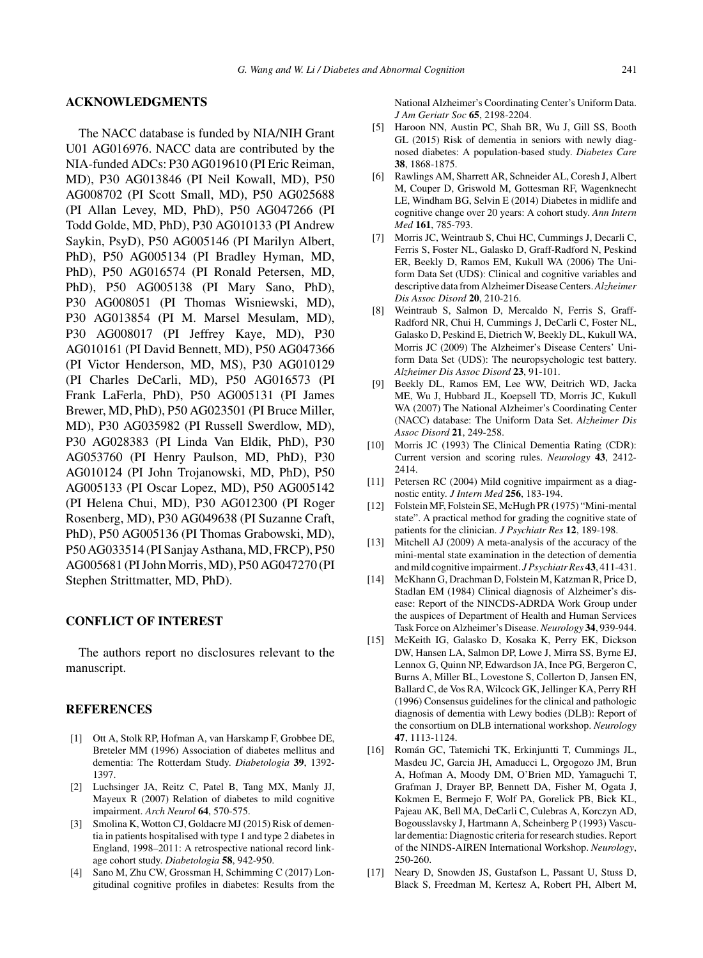# **ACKNOWLEDGMENTS**

The NACC database is funded by NIA/NIH Grant U01 AG016976. NACC data are contributed by the NIA-funded ADCs: P30 AG019610 (PI Eric Reiman, MD), P30 AG013846 (PI Neil Kowall, MD), P50 AG008702 (PI Scott Small, MD), P50 AG025688 (PI Allan Levey, MD, PhD), P50 AG047266 (PI Todd Golde, MD, PhD), P30 AG010133 (PI Andrew Saykin, PsyD), P50 AG005146 (PI Marilyn Albert, PhD), P50 AG005134 (PI Bradley Hyman, MD, PhD), P50 AG016574 (PI Ronald Petersen, MD, PhD), P50 AG005138 (PI Mary Sano, PhD), P30 AG008051 (PI Thomas Wisniewski, MD), P30 AG013854 (PI M. Marsel Mesulam, MD), P30 AG008017 (PI Jeffrey Kaye, MD), P30 AG010161 (PI David Bennett, MD), P50 AG047366 (PI Victor Henderson, MD, MS), P30 AG010129 (PI Charles DeCarli, MD), P50 AG016573 (PI Frank LaFerla, PhD), P50 AG005131 (PI James Brewer, MD, PhD), P50 AG023501 (PI Bruce Miller, MD), P30 AG035982 (PI Russell Swerdlow, MD), P30 AG028383 (PI Linda Van Eldik, PhD), P30 AG053760 (PI Henry Paulson, MD, PhD), P30 AG010124 (PI John Trojanowski, MD, PhD), P50 AG005133 (PI Oscar Lopez, MD), P50 AG005142 (PI Helena Chui, MD), P30 AG012300 (PI Roger Rosenberg, MD), P30 AG049638 (PI Suzanne Craft, PhD), P50 AG005136 (PI Thomas Grabowski, MD), P50 AG033514 (PI Sanjay Asthana, MD, FRCP), P50 AG005681 (PI John Morris, MD), P50 AG047270 (PI Stephen Strittmatter, MD, PhD).

## **CONFLICT OF INTEREST**

The authors report no disclosures relevant to the manuscript.

# **REFERENCES**

- [1] Ott A, Stolk RP, Hofman A, van Harskamp F, Grobbee DE, Breteler MM (1996) Association of diabetes mellitus and dementia: The Rotterdam Study. *Diabetologia* **39**, 1392- 1397.
- [2] Luchsinger JA, Reitz C, Patel B, Tang MX, Manly JJ, Mayeux R (2007) Relation of diabetes to mild cognitive impairment. *Arch Neurol* **64**, 570-575.
- [3] Smolina K, Wotton CJ, Goldacre MJ (2015) Risk of dementia in patients hospitalised with type 1 and type 2 diabetes in England, 1998–2011: A retrospective national record linkage cohort study. *Diabetologia* **58**, 942-950.
- [4] Sano M, Zhu CW, Grossman H, Schimming C (2017) Longitudinal cognitive profiles in diabetes: Results from the

National Alzheimer's Coordinating Center's Uniform Data. *J Am Geriatr Soc* **65**, 2198-2204.

- [5] Haroon NN, Austin PC, Shah BR, Wu J, Gill SS, Booth GL (2015) Risk of dementia in seniors with newly diagnosed diabetes: A population-based study. *Diabetes Care* **38**, 1868-1875.
- [6] Rawlings AM, Sharrett AR, Schneider AL, Coresh J, Albert M, Couper D, Griswold M, Gottesman RF, Wagenknecht LE, Windham BG, Selvin E (2014) Diabetes in midlife and cognitive change over 20 years: A cohort study. *Ann Intern Med* **161**, 785-793.
- [7] Morris JC, Weintraub S, Chui HC, Cummings J, Decarli C, Ferris S, Foster NL, Galasko D, Graff-Radford N, Peskind ER, Beekly D, Ramos EM, Kukull WA (2006) The Uniform Data Set (UDS): Clinical and cognitive variables and descriptive data from Alzheimer Disease Centers.*Alzheimer Dis Assoc Disord* **20**, 210-216.
- [8] Weintraub S, Salmon D, Mercaldo N, Ferris S, Graff-Radford NR, Chui H, Cummings J, DeCarli C, Foster NL, Galasko D, Peskind E, Dietrich W, Beekly DL, Kukull WA, Morris JC (2009) The Alzheimer's Disease Centers' Uniform Data Set (UDS): The neuropsychologic test battery. *Alzheimer Dis Assoc Disord* **23**, 91-101.
- [9] Beekly DL, Ramos EM, Lee WW, Deitrich WD, Jacka ME, Wu J, Hubbard JL, Koepsell TD, Morris JC, Kukull WA (2007) The National Alzheimer's Coordinating Center (NACC) database: The Uniform Data Set. *Alzheimer Dis Assoc Disord* **21**, 249-258.
- [10] Morris JC (1993) The Clinical Dementia Rating (CDR): Current version and scoring rules. *Neurology* **43**, 2412- 2414.
- [11] Petersen RC (2004) Mild cognitive impairment as a diagnostic entity. *J Intern Med* **256**, 183-194.
- [12] Folstein MF, Folstein SE, McHugh PR (1975) "Mini-mental state". A practical method for grading the cognitive state of patients for the clinician. *J Psychiatr Res* **12**, 189-198.
- [13] Mitchell AJ (2009) A meta-analysis of the accuracy of the mini-mental state examination in the detection of dementia and mild cognitive impairment. *J Psychiatr Res* **43**, 411-431.
- [14] McKhann G, Drachman D, Folstein M, Katzman R, Price D, Stadlan EM (1984) Clinical diagnosis of Alzheimer's disease: Report of the NINCDS-ADRDA Work Group under the auspices of Department of Health and Human Services Task Force on Alzheimer's Disease.*Neurology* **34**, 939-944.
- [15] McKeith IG, Galasko D, Kosaka K, Perry EK, Dickson DW, Hansen LA, Salmon DP, Lowe J, Mirra SS, Byrne EJ, Lennox G, Quinn NP, Edwardson JA, Ince PG, Bergeron C, Burns A, Miller BL, Lovestone S, Collerton D, Jansen EN, Ballard C, de Vos RA, Wilcock GK, Jellinger KA, Perry RH (1996) Consensus guidelines for the clinical and pathologic diagnosis of dementia with Lewy bodies (DLB): Report of the consortium on DLB international workshop. *Neurology* **47**, 1113-1124.
- [16] Román GC, Tatemichi TK, Erkinjuntti T, Cummings JL, Masdeu JC, Garcia JH, Amaducci L, Orgogozo JM, Brun A, Hofman A, Moody DM, O'Brien MD, Yamaguchi T, Grafman J, Drayer BP, Bennett DA, Fisher M, Ogata J, Kokmen E, Bermejo F, Wolf PA, Gorelick PB, Bick KL, Pajeau AK, Bell MA, DeCarli C, Culebras A, Korczyn AD, Bogousslavsky J, Hartmann A, Scheinberg P (1993) Vascular dementia: Diagnostic criteria for research studies. Report of the NINDS-AIREN International Workshop. *Neurology*, 250-260.
- [17] Neary D, Snowden JS, Gustafson L, Passant U, Stuss D, Black S, Freedman M, Kertesz A, Robert PH, Albert M,